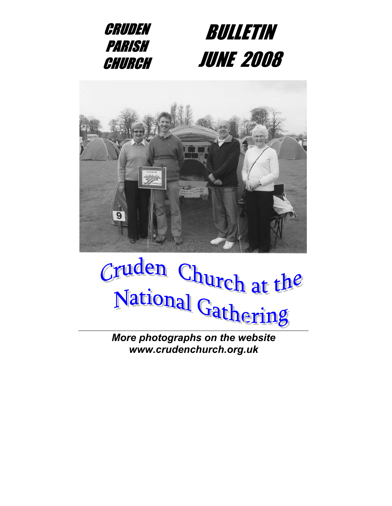



# **Cruden Church at the National Gathering**

*[www.crudenc](http://www.cruden/)hurch.org.uk*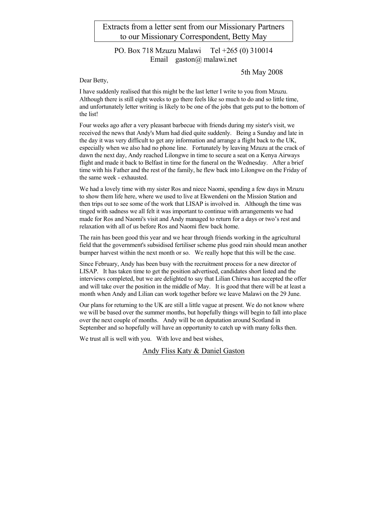Extracts from a letter sent from our Missionary Partners to our Missionary Correspondent, Betty May

PO. Box 718 Mzuzu Malawi Tel +265 (0) 310014 Email gaston@ malawi.net

5th May 2008

Dear Betty,

I have suddenly realised that this might be the last letter I write to you from Mzuzu. Although there is still eight weeks to go there feels like so much to do and so little time, and unfortunately letter writing is likely to be one of the jobs that gets put to the bottom of the list!

Four weeks ago after a very pleasant barbecue with friends during my sister's visit, we received the news that Andy's Mum had died quite suddenly. Being a Sunday and late in the day it was very difficult to get any information and arrange a flight back to the UK, especially when we also had no phone line. Fortunately by leaving Mzuzu at the crack of dawn the next day, Andy reached Lilongwe in time to secure a seat on a Kenya Airways flight and made it back to Belfast in time for the funeral on the Wednesday. After a brief time with his Father and the rest of the family, he flew back into Lilongwe on the Friday of the same week - exhausted.

We had a lovely time with my sister Ros and niece Naomi, spending a few days in Mzuzu to show them life here, where we used to live at Ekwendeni on the Mission Station and then trips out to see some of the work that LISAP is involved in. Although the time was tinged with sadness we all felt it was important to continue with arrangements we had made for Ros and Naomi's visit and Andy managed to return for a days or two's rest and relaxation with all of us before Ros and Naomi flew back home.

The rain has been good this year and we hear through friends working in the agricultural field that the government's subsidised fertiliser scheme plus good rain should mean another bumper harvest within the next month or so. We really hope that this will be the case.

Since February, Andy has been busy with the recruitment process for a new director of LISAP. It has taken time to get the position advertised, candidates short listed and the interviews completed, but we are delighted to say that Lilian Chirwa has accepted the offer and will take over the position in the middle of May. It is good that there will be at least a month when Andy and Lilian can work together before we leave Malawi on the 29 June.

Our plans for returning to the UK are still a little vague at present. We do not know where we will be based over the summer months, but hopefully things will begin to fall into place over the next couple of months. Andy will be on deputation around Scotland in September and so hopefully will have an opportunity to catch up with many folks then.

We trust all is well with you. With love and best wishes,

#### Andy Fliss Katy & Daniel Gaston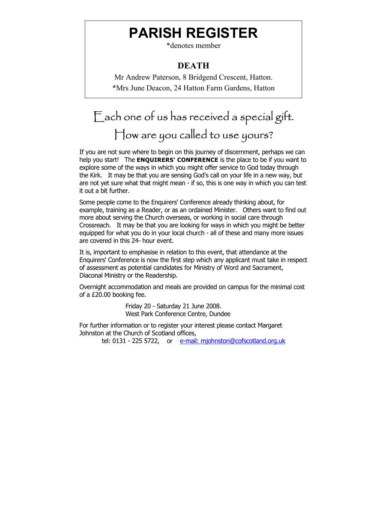# **PARISH REGISTER**

\*denotes member

#### **DEATH**

Mr Andrew Paterson, 8 Bridgend Crescent, Hatton. \*Mrs June Deacon, 24 Hatton Farm Gardens, Hatton

# Each one of us has received a special gift. How are you called to use yours?

If you are not sure where to begin on this journey of discernment, perhaps we can help you start! The **ENQUIRERS' CONFERENCE** is the place to be if you want to explore some of the ways in which you might offer service to God today through the Kirk. It may be that you are sensing God's call on your life in a new way, but are not yet sure what that might mean - if so, this is one way in which you can test it out a bit further.

Some people come to the Enquirers' Conference already thinking about, for example, training as a Reader, or as an ordained Minister. Others want to find out more about serving the Church overseas, or working in social care through Crossreach. It may be that you are looking for ways in which you might be better equipped for what you do in your local church - all of these and many more issues are covered in this 24- hour event.

It is, important to emphasise in relation to this event, that attendance at the Enquirers' Conference is now the first step which any applicant must take in respect of assessment as potential candidates for Ministry of Word and Sacrament, Diaconal Ministry or the Readership.

Overnight accommodation and meals are provided on campus for the minimal cost of a £20.00 booking fee.

> Friday 20 - Saturday 21 June 2008. West Park Conference Centre, Dundee

For further information or to register your interest please contact Margaret Johnston at the Church of Scotland offices,

tel: 0131 - 225 5722, or [e-mail: mjohnston@cofscotland.org.uk](mailto:mjohnston@cofscotland.org.uk)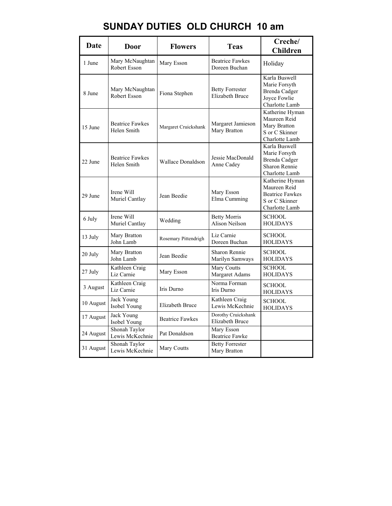## **SUNDAY DUTIES OLD CHURCH 10 am**

| Date      | Door                                  | <b>Flowers</b>           | <b>Teas</b>                                      | Creche/<br><b>Children</b>                                                                       |
|-----------|---------------------------------------|--------------------------|--------------------------------------------------|--------------------------------------------------------------------------------------------------|
| 1 June    | Mary McNaughtan<br>Robert Esson       | Mary Esson               | <b>Beatrice Fawkes</b><br>Doreen Buchan          | Holiday                                                                                          |
| 8 June    | Mary McNaughtan<br>Robert Esson       | Fiona Stephen            | <b>Betty Forrester</b><br><b>Elizabeth Bruce</b> | Karla Buswell<br>Marie Forsyth<br><b>Brenda Cadger</b><br>Joyce Fowlie<br>Charlotte Lamb         |
| 15 June   | <b>Beatrice Fawkes</b><br>Helen Smith | Margaret Cruickshank     | Margaret Jamieson<br>Mary Bratton                | Katherine Hyman<br>Maureen Reid<br>Mary Bratton<br>S or C Skinner<br>Charlotte Lamb              |
| 22 June   | <b>Beatrice Fawkes</b><br>Helen Smith | <b>Wallace Donaldson</b> | Jessie MacDonald<br>Anne Cadey                   | Karla Buswell<br>Marie Forsyth<br><b>Brenda Cadger</b><br><b>Sharon Rennie</b><br>Charlotte Lamb |
| 29 June   | Irene Will<br>Muriel Cantlay          | Jean Beedie              | Mary Esson<br>Elma Cumming                       | Katherine Hyman<br>Maureen Reid<br><b>Beatrice Fawkes</b><br>S or C Skinner<br>Charlotte Lamb    |
| 6 July    | Irene Will<br>Muriel Cantlay          | Wedding                  | <b>Betty Morris</b><br>Alison Neilson            | <b>SCHOOL</b><br><b>HOLIDAYS</b>                                                                 |
| 13 July   | Mary Bratton<br>John Lamb             | Rosemary Pittendrigh     | Liz Carnie<br>Doreen Buchan                      | <b>SCHOOL</b><br><b>HOLIDAYS</b>                                                                 |
| 20 July   | Mary Bratton<br>John Lamb             | Jean Beedie              | <b>Sharon Rennie</b><br>Marilyn Samways          | <b>SCHOOL</b><br><b>HOLIDAYS</b>                                                                 |
| 27 July   | Kathleen Craig<br>Liz Carnie          | Mary Esson               | Mary Coutts<br>Margaret Adams                    | <b>SCHOOL</b><br><b>HOLIDAYS</b>                                                                 |
| 3 August  | Kathleen Craig<br>Liz Carnie          | Iris Durno               | Norma Forman<br>Iris Durno                       | <b>SCHOOL</b><br><b>HOLIDAYS</b>                                                                 |
| 10 August | Jack Young<br>Isobel Young            | Elizabeth Bruce          | Kathleen Craig<br>Lewis McKechnie                | <b>SCHOOL</b><br><b>HOLIDAYS</b>                                                                 |
| 17 August | Jack Young<br>Isobel Young            | <b>Beatrice Fawkes</b>   | Dorothy Cruickshank<br><b>Elizabeth Bruce</b>    |                                                                                                  |
| 24 August | Shonah Taylor<br>Lewis McKechnie      | Pat Donaldson            | Mary Esson<br><b>Beatrice Fawke</b>              |                                                                                                  |
| 31 August | Shonah Taylor<br>Lewis McKechnie      | Mary Coutts              | <b>Betty Forrester</b><br>Mary Bratton           |                                                                                                  |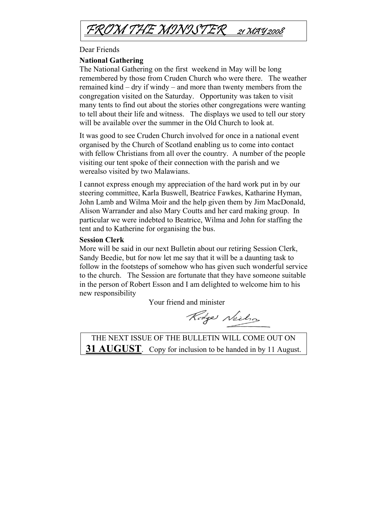

#### Dear Friends

#### **National Gathering**

The National Gathering on the first weekend in May will be long remembered by those from Cruden Church who were there. The weather remained kind – dry if windy – and more than twenty members from the congregation visited on the Saturday. Opportunity was taken to visit many tents to find out about the stories other congregations were wanting to tell about their life and witness. The displays we used to tell our story will be available over the summer in the Old Church to look at.

It was good to see Cruden Church involved for once in a national event organised by the Church of Scotland enabling us to come into contact with fellow Christians from all over the country. A number of the people visiting our tent spoke of their connection with the parish and we werealso visited by two Malawians.

I cannot express enough my appreciation of the hard work put in by our steering committee, Karla Buswell, Beatrice Fawkes, Katharine Hyman, John Lamb and Wilma Moir and the help given them by Jim MacDonald, Alison Warrander and also Mary Coutts and her card making group. In particular we were indebted to Beatrice, Wilma and John for staffing the tent and to Katherine for organising the bus.

#### **Session Clerk**

More will be said in our next Bulletin about our retiring Session Clerk, Sandy Beedie, but for now let me say that it will be a daunting task to follow in the footsteps of somehow who has given such wonderful service to the church. The Session are fortunate that they have someone suitable in the person of Robert Esson and I am delighted to welcome him to his new responsibility

Your friend and minister

Rodge Neilson

THE NEXT ISSUE OF THE BULLETIN WILL COME OUT ON **31 AUGUST**. Copy for inclusion to be handed in by 11 August.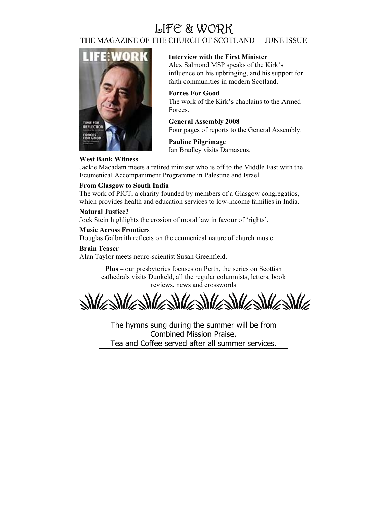## LIFE & WORK

#### THE MAGAZINE OF THE CHURCH OF SCOTLAND - JUNE ISSUE



#### **Interview with the First Minister**

Alex Salmond MSP speaks of the Kirk's influence on his upbringing, and his support for faith communities in modern Scotland.

#### **Forces For Good**

The work of the Kirk's chaplains to the Armed Forces.

**General Assembly 2008**  Four pages of reports to the General Assembly.

**Pauline Pilgrimage**  Ian Bradley visits Damascus.

#### **West Bank Witness**

Jackie Macadam meets a retired minister who is off to the Middle East with the Ecumenical Accompaniment Programme in Palestine and Israel.

#### **From Glasgow to South India**

The work of PICT, a charity founded by members of a Glasgow congregatios, which provides health and education services to low-income families in India.

#### **Natural Justice?**

Jock Stein highlights the erosion of moral law in favour of 'rights'.

#### **Music Across Frontiers**

Douglas Galbraith reflects on the ecumenical nature of church music.

#### **Brain Teaser**

Alan Taylor meets neuro-scientist Susan Greenfield.

**Plus –** our presbyteries focuses on Perth, the series on Scottish cathedrals visits Dunkeld, all the regular columnists, letters, book reviews, news and crosswords

 $\frac{1}{2} \frac{1}{\sqrt{2}} \frac{1}{\sqrt{2}} \frac{1}{\sqrt{2}} \frac{1}{\sqrt{2}} \frac{1}{\sqrt{2}} \frac{1}{\sqrt{2}} \frac{1}{\sqrt{2}} \frac{1}{\sqrt{2}} \frac{1}{\sqrt{2}} \frac{1}{\sqrt{2}} \frac{1}{\sqrt{2}} \frac{1}{\sqrt{2}} \frac{1}{\sqrt{2}} \frac{1}{\sqrt{2}} \frac{1}{\sqrt{2}} \frac{1}{\sqrt{2}} \frac{1}{\sqrt{2}} \frac{1}{\sqrt{2}} \frac{1}{\sqrt{2}} \frac{1}{\sqrt{2}} \frac{1}{\sqrt{2}} \frac{$ 

The hymns sung during the summer will be from Combined Mission Praise. Tea and Coffee served after all summer services.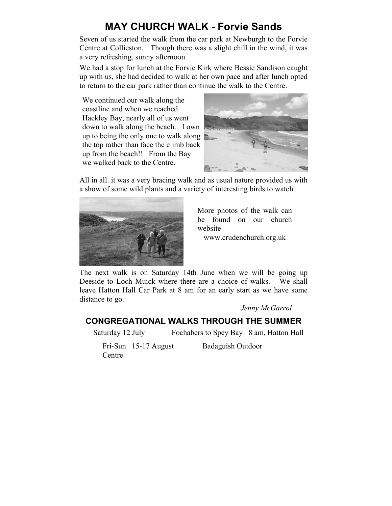## **MAY CHURCH WALK - Forvie Sands**

Seven of us started the walk from the car park at Newburgh to the Forvie Centre at Collieston. Though there was a slight chill in the wind, it was a very refreshing, sunny afternoon.

We had a stop for lunch at the Forvie Kirk where Bessie Sandison caught up with us, she had decided to walk at her own pace and after lunch opted to return to the car park rather than continue the walk to the Centre.

We continued our walk along the coastline and when we reached Hackley Bay, nearly all of us went down to walk along the beach. I own up to being the only one to walk along the top rather than face the climb back up from the beach!! From the Bay we walked back to the Centre.



All in all. it was a very bracing walk and as usual nature provided us with a show of some wild plants and a variety of interesting birds to watch.



More photos of the walk can be found on our church website [www.crudenc](http://www.cruden/)hurch.org.uk

The next walk is on Saturday 14th June when we will be going up Deeside to Loch Muick where there are a choice of walks. We shall leave Hatton Hall Car Park at 8 am for an early start as we have some distance to go.

*Jenny McGarrol* 

### **CONGREGATIONAL WALKS THROUGH THE SUMMER**

Saturday 12 July Fochabers to Spey Bay 8 am, Hatton Hall

|        | Fri-Sun 15-17 August | Badaguish Outdoor |
|--------|----------------------|-------------------|
| Centre |                      |                   |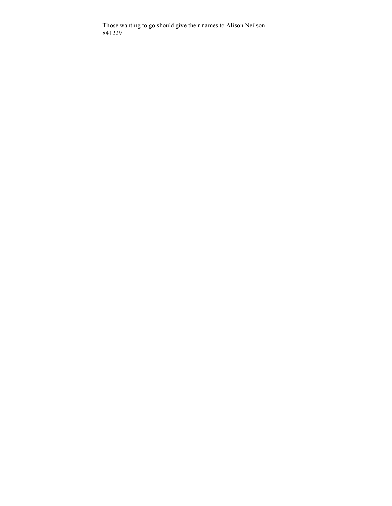Those wanting to go should give their names to Alison Neilson 841229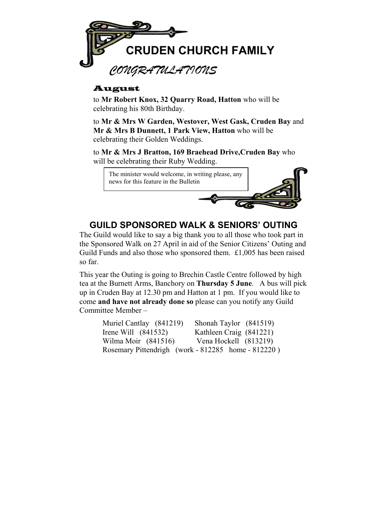

#### August

to **Mr Robert Knox, 32 Quarry Road, Hatton** who will be celebrating his 80th Birthday.

to **Mr & Mrs W Garden, Westover, West Gask, Cruden Bay** and **Mr & Mrs B Dunnett, 1 Park View, Hatton** who will be celebrating their Golden Weddings.

to **Mr & Mrs J Bratton, 169 Braehead Drive,Cruden Bay** who will be celebrating their Ruby Wedding.



## **GUILD SPONSORED WALK & SENIORS' OUTING**

The Guild would like to say a big thank you to all those who took part in the Sponsored Walk on 27 April in aid of the Senior Citizens' Outing and Guild Funds and also those who sponsored them. £1,005 has been raised so far.

This year the Outing is going to Brechin Castle Centre followed by high tea at the Burnett Arms, Banchory on **Thursday 5 June**. A bus will pick up in Cruden Bay at 12.30 pm and Hatton at 1 pm. If you would like to come **and have not already done so** please can you notify any Guild Committee Member –

| Muriel Cantlay (841219) | Shonah Taylor (841519)                             |
|-------------------------|----------------------------------------------------|
| Irene Will $(841532)$   | Kathleen Craig (841221)                            |
| Wilma Moir $(841516)$   | Vena Hockell (813219)                              |
|                         | Rosemary Pittendrigh (work - 812285 home - 812220) |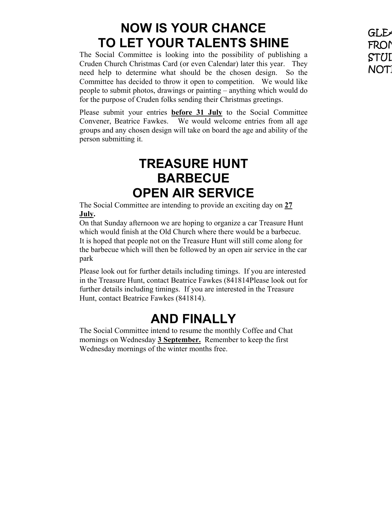# **NOW IS YOUR CHANCE GLEAR TO LET YOUR TALENTS SHINE**

The Social Committee is looking into the possibility of publishing a Cruden Church Christmas Card (or even Calendar) later this year. They need help to determine what should be the chosen design. So the Committee has decided to throw it open to competition. We would like people to submit photos, drawings or painting – anything which would do for the purpose of Cruden folks sending their Christmas greetings.

Please submit your entries **before 31 July** to the Social Committee Convener, Beatrice Fawkes. We would welcome entries from all age groups and any chosen design will take on board the age and ability of the person submitting it.

## **TREASURE HUNT BARBECUE OPEN AIR SERVICE**

The Social Committee are intending to provide an exciting day on **27 July.** 

On that Sunday afternoon we are hoping to organize a car Treasure Hunt which would finish at the Old Church where there would be a barbecue. It is hoped that people not on the Treasure Hunt will still come along for the barbecue which will then be followed by an open air service in the car park

Please look out for further details including timings. If you are interested in the Treasure Hunt, contact Beatrice Fawkes (841814Please look out for further details including timings. If you are interested in the Treasure Hunt, contact Beatrice Fawkes (841814).

# **AND FINALLY**

The Social Committee intend to resume the monthly Coffee and Chat mornings on Wednesday **3 September.** Remember to keep the first Wednesday mornings of the winter months free.

FROM STUI NOT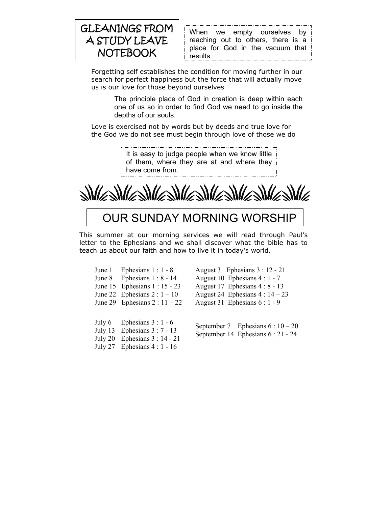

When we empty ourselves by reaching out to others, there is a place for God in the vacuum that results

Forgetting self establishes the condition for moving further in our search for perfect happiness but the force that will actually move us is our love for those beyond ourselves

> The principle place of God in creation is deep within each one of us so in order to find God we need to go inside the depths of our souls.

Love is exercised not by words but by deeds and true love for the God we do not see must begin through love of those we do

> It is easy to judge people when we know little of them, where they are at and where they have come from.

**SIM/2 SI** 

## OUR SUNDAY MORNING WORSHIP

This summer at our morning services we will read through Paul's letter to the Ephesians and we shall discover what the bible has to teach us about our faith and how to live it in today's world.

| June 1    | Ephesians $1:1 - 8$           | Aι |
|-----------|-------------------------------|----|
|           | June 8 Ephesians $1:8 - 14$   | Aι |
|           | June 15 Ephesians 1 : 15 - 23 | Aι |
| June 22   | Ephesians $2:1-10$            | Aι |
|           | June 29 Ephesians $2:11-22$   | Aι |
|           |                               |    |
| July 6    | Ephesians $3:1 - 6$           | Se |
| July $13$ | Ephesians $3:7 - 13$          | Se |
| July 20   | Ephesians $3:14 - 21$         |    |
| July 27   | Ephesians $4:1 - 16$          |    |

agust 3 Ephesians  $3:12 - 21$ agust 10 Ephesians  $4:1 - 7$ agust 17 Ephesians  $4:8 - 13$ agust 24 Ephesians  $4:14-23$ agust 31 Ephesians  $6:1 - 9$ 

sptember 7 Ephesians  $6:10-20$ ptember 14 Ephesians  $6:21 - 24$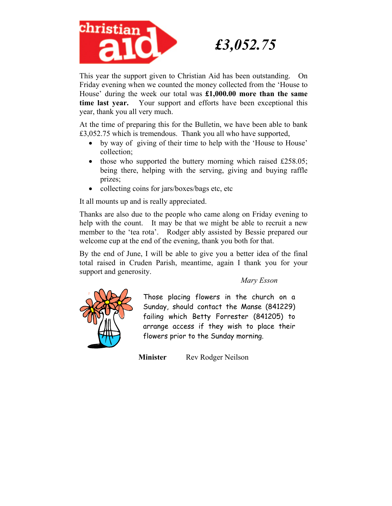

# *£3,052.75*

This year the support given to Christian Aid has been outstanding. On Friday evening when we counted the money collected from the 'House to House' during the week our total was **£1,000.00 more than the same time last year.** Your support and efforts have been exceptional this year, thank you all very much.

At the time of preparing this for the Bulletin, we have been able to bank £3,052.75 which is tremendous. Thank you all who have supported,

- by way of giving of their time to help with the 'House to House' collection;
- those who supported the buttery morning which raised £258.05; being there, helping with the serving, giving and buying raffle prizes;
- collecting coins for jars/boxes/bags etc, etc

It all mounts up and is really appreciated.

Thanks are also due to the people who came along on Friday evening to help with the count. It may be that we might be able to recruit a new member to the 'tea rota'. Rodger ably assisted by Bessie prepared our welcome cup at the end of the evening, thank you both for that.

By the end of June, I will be able to give you a better idea of the final total raised in Cruden Parish, meantime, again I thank you for your support and generosity.

*Mary Esson* 



Those placing flowers in the church on a Sunday, should contact the Manse (841229) failing which Betty Forrester (841205) to arrange access if they wish to place their flowers prior to the Sunday morning.

**Minister** Rev Rodger Neilson